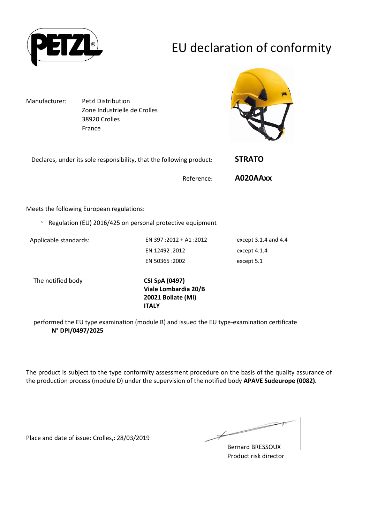

# EU declaration of conformity

Manufacturer: Petzl Distribution Zone Industrielle de Crolles 38920 Crolles France



| Declares, under its sole responsibility, that the following product: | <b>STRATO</b> |
|----------------------------------------------------------------------|---------------|
| Reference:                                                           | A020AAxx      |

Meets the following European regulations:

 $\degree$  Regulation (EU) 2016/425 on personal protective equipment

Applicable standards: EN 397 :2012 + A1 :2012 except 3.1.4 and 4.4 EN 12492 :2012 except 4.1.4 EN 50365 :2002 except 5.1

The notified body **CSI SpA (0497)**

**Viale Lombardia 20/B 20021 Bollate (MI) ITALY**

performed the EU type examination (module B) and issued the EU type-examination certificate **N° DPI/0497/2025**

The product is subject to the type conformity assessment procedure on the basis of the quality assurance of the production process (module D) under the supervision of the notified body **APAVE Sudeurope (0082).**

Place and date of issue: Crolles,: 28/03/2019

 $\overline{\phantom{a}}$ Ł

Bernard BRESSOUX Product risk director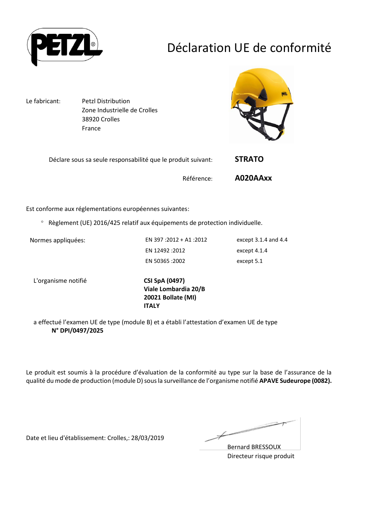

# Déclaration UE de conformité

Le fabricant: Petzl Distribution Zone Industrielle de Crolles 38920 Crolles France



| Déclare sous sa seule responsabilité que le produit suivant: | <b>STRATO</b> |
|--------------------------------------------------------------|---------------|
| Référence:                                                   | A020AAxx      |

Est conforme aux réglementations européennes suivantes:

Règlement (UE) 2016/425 relatif aux équipements de protection individuelle.

Normes appliquées: EN 397 :2012 + A1 :2012 except 3.1.4 and 4.4 EN 12492 :2012 except 4.1.4 EN 50365 :2002 except 5.1

L'organisme notifié **CSI SpA (0497)**

**Viale Lombardia 20/B 20021 Bollate (MI) ITALY**

a effectué l'examen UE de type (module B) et a établi l'attestation d'examen UE de type **N° DPI/0497/2025**

Le produit est soumis à la procédure d'évaluation de la conformité au type sur la base de l'assurance de la qualité du mode de production (module D) sous la surveillance de l'organisme notifié **APAVE Sudeurope (0082).**

Date et lieu d'établissement: Crolles,: 28/03/2019

Ł

Bernard BRESSOUX Directeur risque produit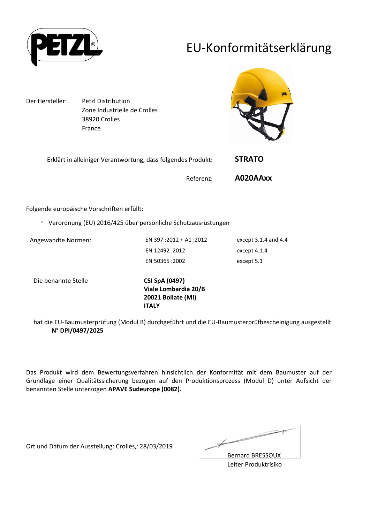

## EU-Konformitätserklärung

Der Hersteller: Petzl Distribution Zone Industrielle de Crolles 38920 Crolles France



| Erklärt in alleiniger Verantwortung, dass folgendes Produkt: | <b>STRATO</b> |
|--------------------------------------------------------------|---------------|
|                                                              |               |

Referenz: **A020AAxx**

Folgende europäische Vorschriften erfüllt:

Verordnung (EU) 2016/425 über persönliche Schutzausrüstungen

Angewandte Normen: EN 397 :2012 + A1 :2012 except 3.1.4 and 4.4 EN 12492 :2012 except 4.1.4 EN 50365 :2002 except 5.1

Die benannte Stelle **CSI SpA (0497)**

**Viale Lombardia 20/B 20021 Bollate (MI) ITALY**

hat die EU-Baumusterprüfung (Modul B) durchgeführt und die EU-Baumusterprüfbescheinigung ausgestellt **N° DPI/0497/2025**

Das Produkt wird dem Bewertungsverfahren hinsichtlich der Konformität mit dem Baumuster auf der Grundlage einer Qualitätssicherung bezogen auf den Produktionsprozess (Modul D) unter Aufsicht der benannten Stelle unterzogen **APAVE Sudeurope (0082).**

Ort und Datum der Ausstellung: Crolles,: 28/03/2019

 $\overline{\phantom{a}}$ ¥

Bernard BRESSOUX Leiter Produktrisiko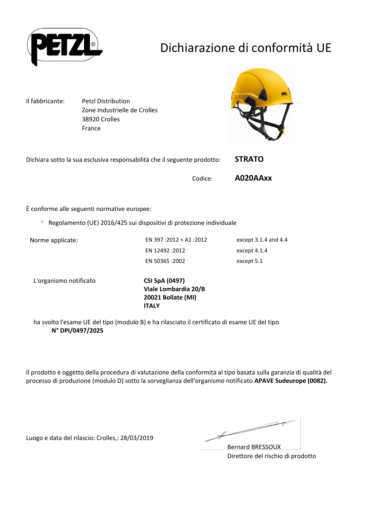

# Dichiarazione di conformità UE

Il fabbricante: Petzl Distribution Zone Industrielle de Crolles 38920 Crolles France



| Dichiara sotto la sua esclusiva responsabilità che il seguente prodotto: |         | <b>STRATO</b> |
|--------------------------------------------------------------------------|---------|---------------|
|                                                                          | Codice: | A020AAxx      |

È conforme alle seguenti normative europee:

Regolamento (UE) 2016/425 sui dispositivi di protezione individuale

Norme applicate: EN 397 :2012 + A1 :2012 except 3.1.4 and 4.4 EN 12492 :2012 except 4.1.4 EN 50365 :2002 except 5.1

L'organismo notificato **CSI SpA (0497)**

**Viale Lombardia 20/B 20021 Bollate (MI) ITALY**

ha svolto l'esame UE del tipo (modulo B) e ha rilasciato il certificato di esame UE del tipo **N° DPI/0497/2025**

Il prodotto è oggetto della procedura di valutazione della conformità al tipo basata sulla garanzia di qualità del processo di produzione (modulo D) sotto la sorveglianza dell'organismo notificato **APAVE Sudeurope (0082).**

Luogo e data del rilascio: Crolles,: 28/03/2019

 $\not\!\!\!-\!\!\!-$ 

Bernard BRESSOUX Direttore del rischio di prodotto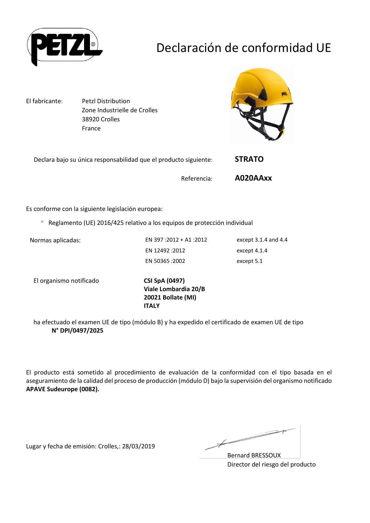

# Declaración de conformidad UE

El fabricante: Petzl Distribution Zone Industrielle de Crolles 38920 Crolles France



| Declara bajo su única responsabilidad que el producto siguiente: | <b>STRATO</b> |
|------------------------------------------------------------------|---------------|
| Referencia:                                                      | A020AAxx      |

Es conforme con la siguiente legislación europea:

Reglamento (UE) 2016/425 relativo a los equipos de protección individual

Normas aplicadas: EN 397 :2012 + A1 :2012 except 3.1.4 and 4.4 EN 12492 :2012 except 4.1.4 EN 50365 :2002 except 5.1

El organismo notificado **CSI SpA (0497)**

**Viale Lombardia 20/B 20021 Bollate (MI) ITALY**

ha efectuado el examen UE de tipo (módulo B) y ha expedido el certificado de examen UE de tipo **N° DPI/0497/2025**

El producto está sometido al procedimiento de evaluación de la conformidad con el tipo basada en el aseguramiento de la calidad del proceso de producción (módulo D) bajo la supervisión del organismo notificado **APAVE Sudeurope (0082).**

Lugar y fecha de emisión: Crolles,: 28/03/2019

 $\overline{\phantom{a}}$ 

Bernard BRESSOUX Director del riesgo del producto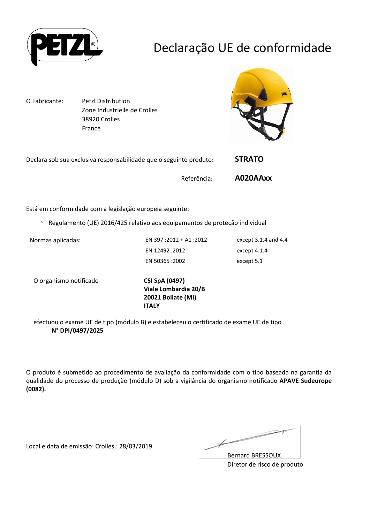

## Declaração UE de conformidade

O Fabricante: Petzl Distribution Zone Industrielle de Crolles 38920 Crolles France



| Declara sob sua exclusiva responsabilidade que o seguinte produto: |             | <b>STRATO</b> |
|--------------------------------------------------------------------|-------------|---------------|
|                                                                    | Referência: | A020AAxx      |

Está em conformidade com a legislação europeia seguinte:

Regulamento (UE) 2016/425 relativo aos equipamentos de proteção individual

Normas aplicadas: EN 397 :2012 + A1 :2012 except 3.1.4 and 4.4 EN 12492 :2012 except 4.1.4 EN 50365 :2002 except 5.1

O organismo notificado **CSI SpA (0497)**

**Viale Lombardia 20/B 20021 Bollate (MI) ITALY**

efectuou o exame UE de tipo (módulo B) e estabeleceu o certificado de exame UE de tipo **N° DPI/0497/2025**

O produto é submetido ao procedimento de avaliação da conformidade com o tipo baseada na garantia da qualidade do processo de produção (módulo D) sob a vigilância do organismo notificado **APAVE Sudeurope (0082).**

Local e data de emissão: Crolles,: 28/03/2019

 $\overline{\phantom{a}}$ 

Bernard BRESSOUX Diretor de risco de produto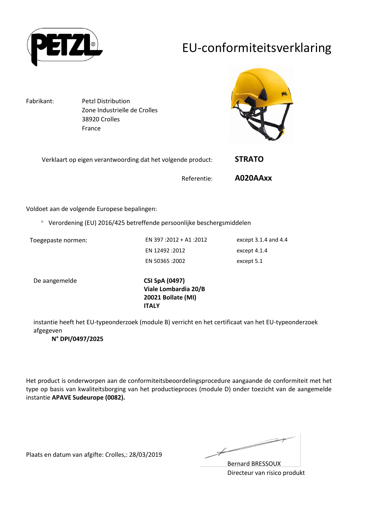

## EU-conformiteitsverklaring

Fabrikant: Petzl Distribution Zone Industrielle de Crolles 38920 Crolles France



| Verklaart op eigen verantwoording dat het volgende product: |             | <b>STRATO</b> |
|-------------------------------------------------------------|-------------|---------------|
|                                                             | Referentie: | A020AAxx      |

Voldoet aan de volgende Europese bepalingen:

Verordening (EU) 2016/425 betreffende persoonlijke beschergsmiddelen

Toegepaste normen: EN 397 :2012 + A1 :2012 except 3.1.4 and 4.4 EN 12492 :2012 except 4.1.4 EN 50365 :2002 except 5.1

De aangemelde **CSI SpA (0497)**

**Viale Lombardia 20/B 20021 Bollate (MI) ITALY**

instantie heeft het EU-typeonderzoek (module B) verricht en het certificaat van het EU-typeonderzoek afgegeven

#### **N° DPI/0497/2025**

Het product is onderworpen aan de conformiteitsbeoordelingsprocedure aangaande de conformiteit met het type op basis van kwaliteitsborging van het productieproces (module D) onder toezicht van de aangemelde instantie **APAVE Sudeurope (0082).**

Plaats en datum van afgifte: Crolles,: 28/03/2019

 $\overbrace{\phantom{aaaaa}}^{x}$ 

Bernard BRESSOUX Directeur van risico produkt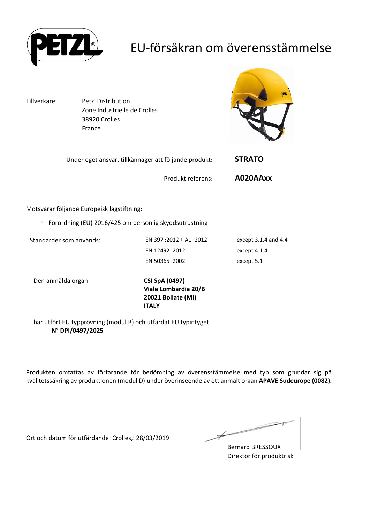

## EU-försäkran om överensstämmelse

Tillverkare: Petzl Distribution Zone Industrielle de Crolles 38920 Crolles France



| Under eget ansvar, tillkännager att följande produkt: | <b>STRATO</b> |
|-------------------------------------------------------|---------------|
| Produkt referens:                                     | A020AAxx      |

Motsvarar följande Europeisk lagstiftning:

Förordning (EU) 2016/425 om personlig skyddsutrustning

Standarder som används: EN 397 :2012 + A1 :2012 except 3.1.4 and 4.4 EN 12492 :2012 except 4.1.4 EN 50365 :2002 except 5.1

Den anmälda organ **CSI SpA (0497)**

**Viale Lombardia 20/B 20021 Bollate (MI) ITALY**

har utfört EU typprövning (modul B) och utfärdat EU typintyget **N° DPI/0497/2025**

Produkten omfattas av förfarande för bedömning av överensstämmelse med typ som grundar sig på kvalitetssäkring av produktionen (modul D) under överinseende av ett anmält organ **APAVE Sudeurope (0082).**

Ort och datum för utfärdande: Crolles,: 28/03/2019

Ł

Bernard BRESSOUX Direktör för produktrisk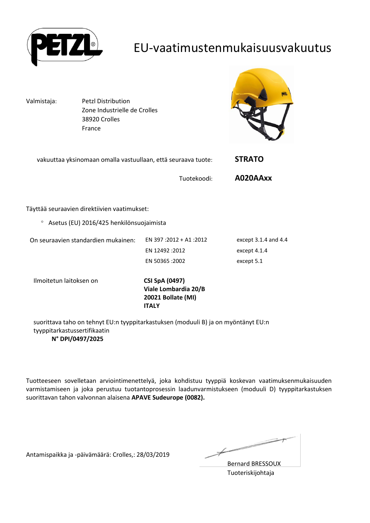

#### EU-vaatimustenmukaisuusvakuutus

Valmistaja: Petzl Distribution Zone Industrielle de Crolles 38920 Crolles France



| vakuuttaa yksinomaan omalla vastuullaan, että seuraava tuote: |                                               | <b>STRATO</b>            |
|---------------------------------------------------------------|-----------------------------------------------|--------------------------|
|                                                               | Tuotekoodi:                                   | A020AAxx                 |
|                                                               |                                               |                          |
| Täyttää seuraavien direktiivien vaatimukset:                  |                                               |                          |
| Asetus (EU) 2016/425 henkilönsuojaimista<br>$\circ$           |                                               |                          |
| On seuraavien standardien mukainen:                           | EN 397:2012 + A1:2012                         | except $3.1.4$ and $4.4$ |
|                                                               | EN 12492 : 2012                               | except 4.1.4             |
|                                                               | EN 50365 :2002                                | except 5.1               |
| Ilmoitetun laitoksen on                                       | <b>CSI SpA (0497)</b><br>Viale Lombardia 20/B |                          |

suorittava taho on tehnyt EU:n tyyppitarkastuksen (moduuli B) ja on myöntänyt EU:n tyyppitarkastussertifikaatin **N° DPI/0497/2025**

**ITALY**

**20021 Bollate (MI)**

Tuotteeseen sovelletaan arviointimenettelyä, joka kohdistuu tyyppiä koskevan vaatimuksenmukaisuuden varmistamiseen ja joka perustuu tuotantoprosessin laadunvarmistukseen (moduuli D) tyyppitarkastuksen suorittavan tahon valvonnan alaisena **APAVE Sudeurope (0082).**

Antamispaikka ja -päivämäärä: Crolles,: 28/03/2019

Ì

Bernard BRESSOUX Tuoteriskijohtaja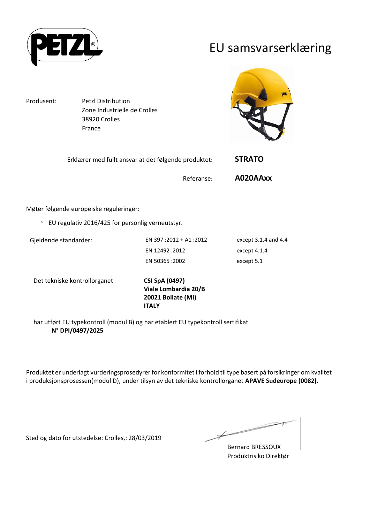

#### EU samsvarserklæring

Produsent: Petzl Distribution Zone Industrielle de Crolles 38920 Crolles France



| Erklærer med fullt ansvar at det følgende produktet: | <b>STRATO</b> |  |
|------------------------------------------------------|---------------|--|
|                                                      |               |  |

Møter følgende europeiske reguleringer:

EU regulativ 2016/425 for personlig verneutstyr.

Gjeldende standarder: EN 397 :2012 + A1 :2012 except 3.1.4 and 4.4 EN 12492 :2012 except 4.1.4 EN 50365 :2002 except 5.1

Referanse: **A020AAxx**

Det tekniske kontrollorganet **CSI SpA (0497)**

**Viale Lombardia 20/B 20021 Bollate (MI) ITALY**

har utført EU typekontroll (modul B) og har etablert EU typekontroll sertifikat **N° DPI/0497/2025**

Produktet er underlagt vurderingsprosedyrer for konformitet i forhold til type basert på forsikringer om kvalitet i produksjonsprosessen(modul D), under tilsyn av det tekniske kontrollorganet **APAVE Sudeurope (0082).**

Sted og dato for utstedelse: Crolles,: 28/03/2019

Ł

Bernard BRESSOUX Produktrisiko Direktør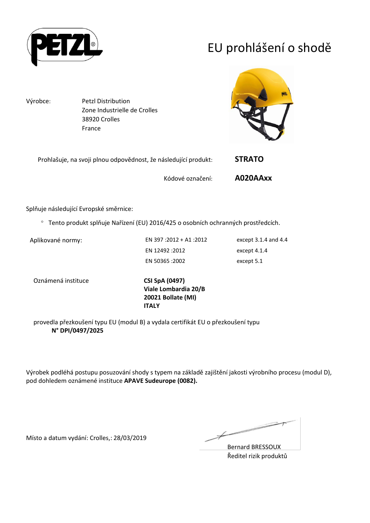

# EU prohlášení o shodě

Výrobce: Petzl Distribution Zone Industrielle de Crolles 38920 Crolles France



| Prohlašuje, na svoji plnou odpovědnost, že následující produkt: |                  | <b>STRATO</b> |
|-----------------------------------------------------------------|------------------|---------------|
|                                                                 | Kódové označení: | A020AAxx      |

Splňuje následující Evropské směrnice:

Tento produkt splňuje Nařízení (EU) 2016/425 o osobních ochranných prostředcích.

Aplikované normy: <br>EN 397 :2012 + A1 :2012 except 3.1.4 and 4.4 EN 12492 :2012 except 4.1.4 EN 50365 :2002 except 5.1

Oznámená instituce **CSI SpA (0497)**

**Viale Lombardia 20/B 20021 Bollate (MI) ITALY**

provedla přezkoušení typu EU (modul B) a vydala certifikát EU o přezkoušení typu **N° DPI/0497/2025**

Výrobek podléhá postupu posuzování shody s typem na základě zajištění jakosti výrobního procesu (modul D), pod dohledem oznámené instituce **APAVE Sudeurope (0082).**

Místo a datum vydání: Crolles,: 28/03/2019

 $\overline{\phantom{1}}$ Ł

Bernard BRESSOUX Ředitel rizik produktů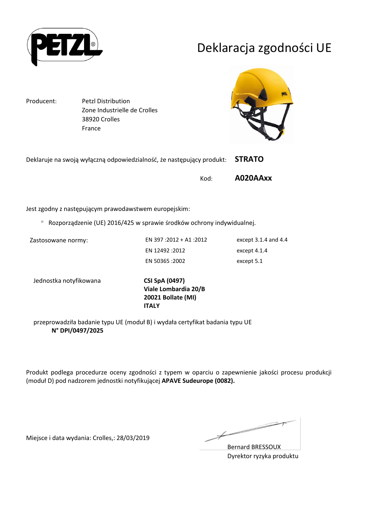

## Deklaracja zgodności UE

Producent: Petzl Distribution Zone Industrielle de Crolles 38920 Crolles France



| Deklaruje na swoją wyłączną odpowiedzialność, że następujący produkt: STRATO |          |
|------------------------------------------------------------------------------|----------|
| Kod:                                                                         | A020AAxx |

Jest zgodny z następującym prawodawstwem europejskim:

Rozporządzenie (UE) 2016/425 w sprawie środków ochrony indywidualnej.

Zastosowane normy: EN 397 :2012 + A1 :2012 except 3.1.4 and 4.4 EN 12492 :2012 except 4.1.4 EN 50365 :2002 except 5.1

Jednostka notyfikowana **CSI SpA (0497)**

**Viale Lombardia 20/B 20021 Bollate (MI) ITALY**

przeprowadziła badanie typu UE (moduł B) i wydała certyfikat badania typu UE **N° DPI/0497/2025**

Produkt podlega procedurze oceny zgodności z typem w oparciu o zapewnienie jakości procesu produkcji (moduł D) pod nadzorem jednostki notyfikującej **APAVE Sudeurope (0082).**

Miejsce i data wydania: Crolles,: 28/03/2019

 $\overline{\phantom{a}}$ Ł

Bernard BRESSOUX Dyrektor ryzyka produktu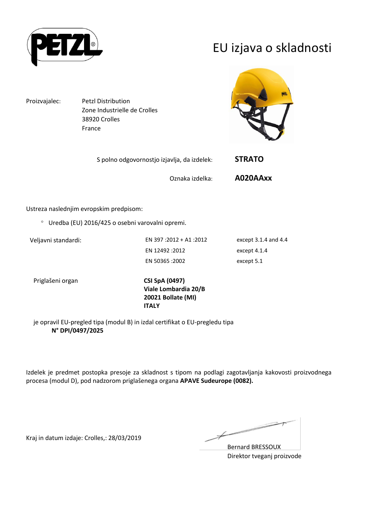

## EU izjava o skladnosti

Proizvajalec: Petzl Distribution Zone Industrielle de Crolles 38920 Crolles France



| S polno odgovornostjo izjavlja, da izdelek: | <b>STRATO</b> |
|---------------------------------------------|---------------|
|                                             |               |

Oznaka izdelka: **A020AAxx**

Ustreza naslednjim evropskim predpisom:

Uredba (EU) 2016/425 o osebni varovalni opremi.

Veljavni standardi: EN 397 :2012 + A1 :2012 except 3.1.4 and 4.4 EN 12492 :2012 except 4.1.4 EN 50365 :2002 except 5.1

Priglašeni organ **CSI SpA (0497)**

**Viale Lombardia 20/B 20021 Bollate (MI) ITALY**

je opravil EU-pregled tipa (modul B) in izdal certifikat o EU-pregledu tipa **N° DPI/0497/2025**

Izdelek je predmet postopka presoje za skladnost s tipom na podlagi zagotavljanja kakovosti proizvodnega procesa (modul D), pod nadzorom priglašenega organa **APAVE Sudeurope (0082).**

Kraj in datum izdaje: Crolles,: 28/03/2019

Ł

Bernard BRESSOUX Direktor tveganj proizvode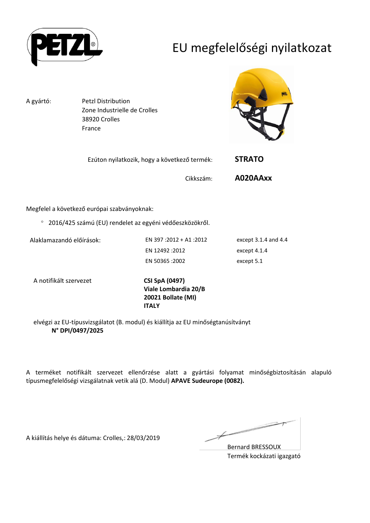

# EU megfelelőségi nyilatkozat

A gyártó: Petzl Distribution Zone Industrielle de Crolles 38920 Crolles France



| Ezúton nyilatkozik, hogy a következő termék: | <b>STRATO</b> |
|----------------------------------------------|---------------|
|                                              |               |

Cikkszám: **A020AAxx**

Megfelel a következő európai szabványoknak:

2016/425 számú (EU) rendelet az egyéni védőeszközökről.

Alaklamazandó előírások: EN 397 :2012 + A1 :2012 except 3.1.4 and 4.4 EN 12492 :2012 except 4.1.4 EN 50365 :2002 except 5.1

A notifikált szervezet **CSI SpA (0497)**

**Viale Lombardia 20/B 20021 Bollate (MI) ITALY**

elvégzi az EU-típusvizsgálatot (B. modul) és kiállítja az EU minőségtanúsítványt **N° DPI/0497/2025**

A terméket notifikált szervezet ellenőrzése alatt a gyártási folyamat minőségbiztosításán alapuló típusmegfelelőségi vizsgálatnak vetik alá (D. Modul) **APAVE Sudeurope (0082).**

A kiállítás helye és dátuma: Crolles,: 28/03/2019

 $\overline{\phantom{a}}$ Ł

Bernard BRESSOUX Termék kockázati igazgató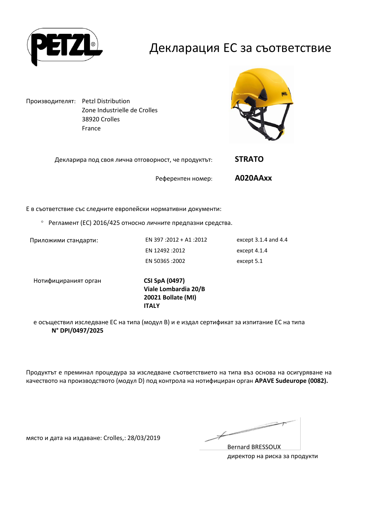

### Декларация ЕС за съответствие

Производителят: Petzl Distribution Zone Industrielle de Crolles 38920 Crolles France



| Декларира под своя лична отговорност, че продуктът: |                   | <b>STRATO</b> |
|-----------------------------------------------------|-------------------|---------------|
|                                                     | Референтен номер: | A020AAxx      |

Е в съответствие със следните европейски нормативни документи:

Регламент (ЕС) 2016/425 относно личните предпазни средства.

Приложими стандарти: EN 397 :2012 + A1 :2012 except 3.1.4 and 4.4 EN 12492 :2012 except 4.1.4 EN 50365 :2002 except 5.1

Нотифицираният орган **CSI SpA (0497)**

**Viale Lombardia 20/B 20021 Bollate (MI) ITALY**

е осъществил изследване ЕС на типа (модул В) и е издал сертификат за изпитание ЕС на типа **N° DPI/0497/2025**

Продуктът е преминал процедура за изследване съответствието на типа въз основа на осигуряване на качеството на производството (модул D) под контрола на нотифициран орган **APAVE Sudeurope (0082).**

място и дата на издаване: Crolles,: 28/03/2019

 $\not\!\!\!\!/$ 

Bernard BRESSOUX директор на риска за продукти